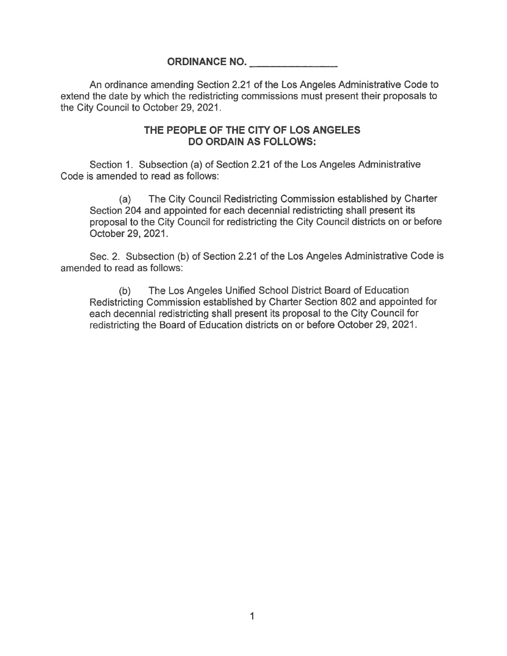## **ORDINANCE NO.**

An ordinance amending Section 2.21 of the Los Angeles Administrative Code to extend the date by which the redistricting commissions must present their proposals to the City Council to October 29, 2021.

## **THE PEOPLE OF THE CITY OF LOS ANGELES DO ORDAIN AS FOLLOWS:**

Section 1. Subsection (a) of Section 2.21 of the Los Angeles Administrative Code is amended to read as follows:

(a) The City Council Redistricting Commission established by Charter Section 204 and appointed for each decennial redistricting shall present its proposal to the City Council for redistricting the City Council districts on or before October 29, 2021.

Sec. 2. Subsection (b) of Section 2.21 of the Los Angeles Administrative Code is amended to read as follows:

(b) The Los Angeles Unified School District Board of Education Redistricting Commission established by Charter Section 802 and appointed for each decennial redistricting shall present its proposal to the City Council for redistricting the Board of Education districts on or before October 29, 2021.